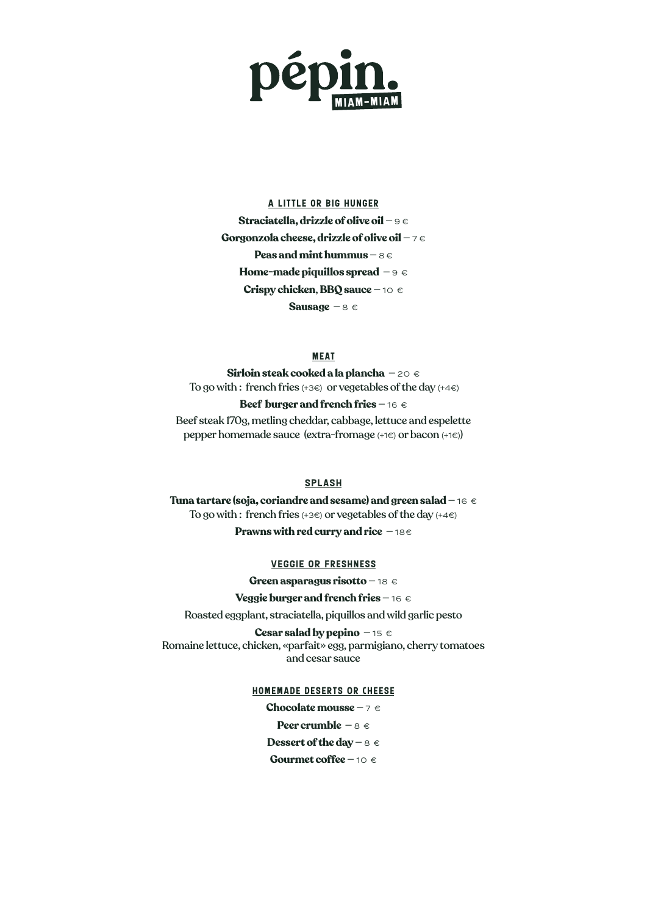

# A little or big hunger **Straciatella, drizzle of olive oil** — 9 € **Gorgonzola cheese, drizzle of olive oil** — 7 € **Peas and mint hummus** — 8 € **Home-made piquillos spread** — 9 € **Crispy chicken**, **BBQ sauce** — 10 € **Sausage** — 8 €

#### **MEAT**

**Sirloin steak cooked a la plancha** — 20 € To go with: french fries  $(+36)$  or vegetables of the day  $(+46)$ 

**Beef burger and french fries** – 16 € Beef steak 170g, metling cheddar, cabbage, lettuce and espelette pepper homemade sauce (extra-fromage (+1€) or bacon (+1€))

### SPLASH

**Tuna tartare (soja, coriandre and sesame) and green salad** — 16 € To go with : french fries  $(+3)$  or vegetables of the day  $(+4)$ **Prawns with red curry and rice**  $-18€$ 

#### VEGGIE OR Freshness

**Green asparagus risotto** — 18 €

### **Veggie burger and french fries** — 16 €

Roasted eggplant, straciatella, piquillos and wild garlic pesto

**Cesar salad by pepino** — 15 € Romaine lettuce, chicken, «parfait» egg, parmigiano, cherry tomatoes and cesar sauce

#### homemade deserts Or cheese

**Chocolate mousse** — 7 € **Peer crumble** — 8 € **Dessert of the day – 8 € Gourmet coffee** — 10 €